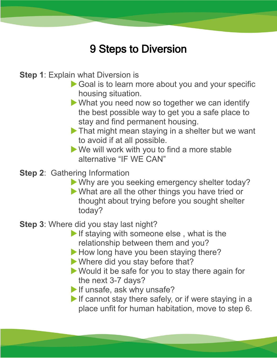## 9 Steps to Diversion

**Step 1**: Explain what Diversion is

- Goal is to learn more about you and your specific housing situation.
- What you need now so together we can identify the best possible way to get you a safe place to stay and find permanent housing.
- **That might mean staying in a shelter but we want** to avoid if at all possible.
- We will work with you to find a more stable alternative "IF WE CAN"
- **Step 2**: Gathering Information
	- Why are you seeking emergency shelter today?
	- What are all the other things you have tried or thought about trying before you sought shelter today?
- **Step 3**: Where did you stay last night?
	- If staying with someone else, what is the relationship between them and you?
	- How long have you been staying there?
	- Where did you stay before that?
	- ▶ Would it be safe for you to stay there again for the next 3-7 days?
	- If unsafe, ask why unsafe?
	- If cannot stay there safely, or if were staying in a place unfit for human habitation, move to step 6.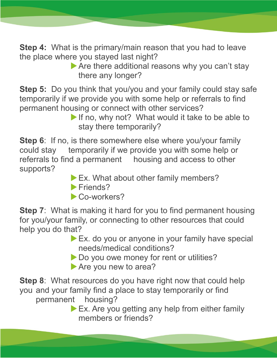**Step 4:** What is the primary/main reason that you had to leave the place where you stayed last night?

Are there additional reasons why you can't stay there any longer?

**Step 5:** Do you think that you/you and your family could stay safe temporarily if we provide you with some help or referrals to find permanent housing or connect with other services?

If no, why not? What would it take to be able to stay there temporarily?

**Step 6:** If no, is there somewhere else where you/your family could stay temporarily if we provide you with some help or referrals to find a permanent housing and access to other supports?

- Ex. What about other family members?
- Friends?
- Co-workers?

**Step 7:** What is making it hard for you to find permanent housing for you/your family, or connecting to other resources that could help you do that?

- Ex. do you or anyone in your family have special needs/medical conditions?
- Do you owe money for rent or utilities?
- Are you new to area?

**Step 8**: What resources do you have right now that could help you and your family find a place to stay temporarily or find permanent housing?

Ex. Are you getting any help from either family members or friends?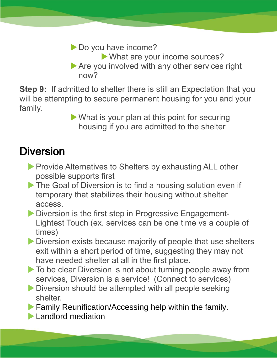▶ Do you have income?

- What are your income sources?
- Are you involved with any other services right now?

**Step 9:** If admitted to shelter there is still an Expectation that you will be attempting to secure permanent housing for you and your family.

What is your plan at this point for securing housing if you are admitted to the shelter

## Diversion

- **Provide Alternatives to Shelters by exhausting ALL other** possible supports first
- The Goal of Diversion is to find a housing solution even if temporary that stabilizes their housing without shelter access.
- **Diversion is the first step in Progressive Engagement-**Lightest Touch (ex. services can be one time vs a couple of times)
- Diversion exists because majority of people that use shelters exit within a short period of time, suggesting they may not have needed shelter at all in the first place.
- ▶ To be clear Diversion is not about turning people away from services, Diversion is a service! (Connect to services)
- **Diversion should be attempted with all people seeking** shelter.

**Family Reunification/Accessing help within the family.** 

**Landlord mediation**